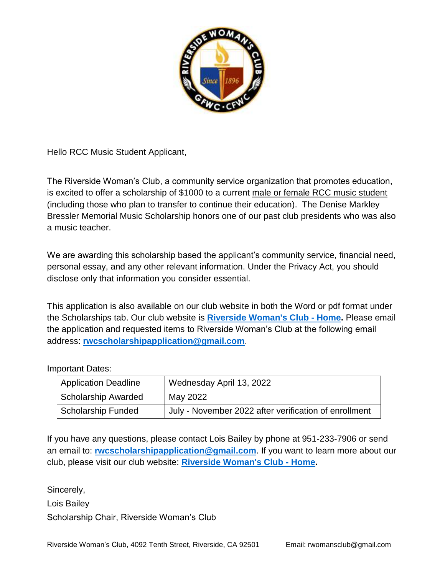

Hello RCC Music Student Applicant,

The Riverside Woman's Club, a community service organization that promotes education, is excited to offer a scholarship of \$1000 to a current male or female RCC music student (including those who plan to transfer to continue their education). The Denise Markley Bressler Memorial Music Scholarship honors one of our past club presidents who was also a music teacher.

We are awarding this scholarship based the applicant's community service, financial need, personal essay, and any other relevant information. Under the Privacy Act, you should disclose only that information you consider essential.

This application is also available on our club website in both the Word or pdf format under the Scholarships tab. Our club website is **[Riverside Woman's Club -](https://www.riversidewomansclub.com/) Home.** Please email the application and requested items to Riverside Woman's Club at the following email address: **[rwcscholarshipapplication@gmail.com](mailto:rwcscholarshipapplication@gmail.com)**.

### Important Dates:

| <b>Application Deadline</b> | Wednesday April 13, 2022                              |
|-----------------------------|-------------------------------------------------------|
| <b>Scholarship Awarded</b>  | May 2022                                              |
| <b>Scholarship Funded</b>   | July - November 2022 after verification of enrollment |

If you have any questions, please contact Lois Bailey by phone at 951-233-7906 or send an email to: **[rwcscholarshipapplication@gmail.com](mailto:rwcscholarshipapplication@gmail.com)**. If you want to learn more about our club, please visit our club website: **[Riverside Woman's Club -](https://www.riversidewomansclub.com/) Home.**

Sincerely,

Lois Bailey

Scholarship Chair, Riverside Woman's Club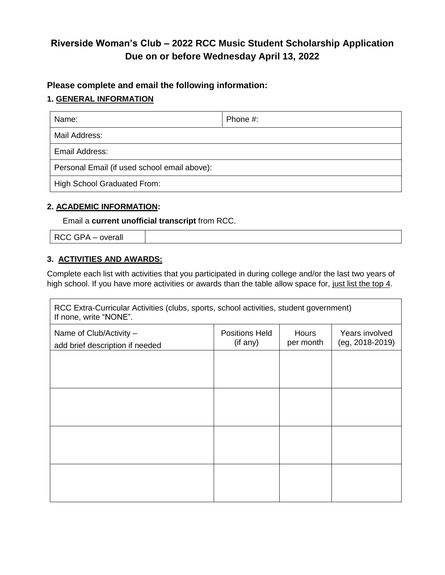# **Riverside Woman's Club – 2022 RCC Music Student Scholarship Application Due on or before Wednesday April 13, 2022**

## **Please complete and email the following information:**

### **1. GENERAL INFORMATION**

| Name:                                        | Phone #: |  |  |
|----------------------------------------------|----------|--|--|
| Mail Address:                                |          |  |  |
| Email Address:                               |          |  |  |
| Personal Email (if used school email above): |          |  |  |
| High School Graduated From:                  |          |  |  |

### **2. ACADEMIC INFORMATION:**

Email a **current unofficial transcript** from RCC.

RCC GPA – overall

#### **3. ACTIVITIES AND AWARDS:**

Complete each list with activities that you participated in during college and/or the last two years of high school. If you have more activities or awards than the table allow space for, just list the top 4.

| RCC Extra-Curricular Activities (clubs, sports, school activities, student government)<br>If none, write "NONE". |                                   |                    |                                       |  |  |
|------------------------------------------------------------------------------------------------------------------|-----------------------------------|--------------------|---------------------------------------|--|--|
| Name of Club/Activity -<br>add brief description if needed                                                       | <b>Positions Held</b><br>(if any) | Hours<br>per month | Years involved<br>$(eg, 2018 - 2019)$ |  |  |
|                                                                                                                  |                                   |                    |                                       |  |  |
|                                                                                                                  |                                   |                    |                                       |  |  |
|                                                                                                                  |                                   |                    |                                       |  |  |
|                                                                                                                  |                                   |                    |                                       |  |  |
|                                                                                                                  |                                   |                    |                                       |  |  |
|                                                                                                                  |                                   |                    |                                       |  |  |
|                                                                                                                  |                                   |                    |                                       |  |  |
|                                                                                                                  |                                   |                    |                                       |  |  |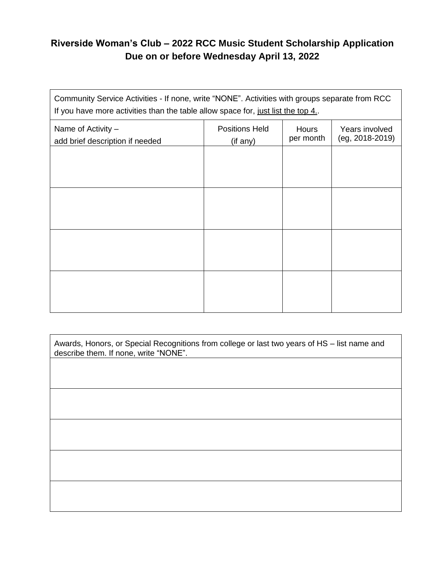## **Riverside Woman's Club – 2022 RCC Music Student Scholarship Application Due on or before Wednesday April 13, 2022**

Community Service Activities - If none, write "NONE". Activities with groups separate from RCC If you have more activities than the table allow space for, just list the top 4.

| Name of Activity -<br>add brief description if needed | <b>Positions Held</b><br>(if any) | Hours<br>per month | Years involved<br>(eg, 2018-2019) |
|-------------------------------------------------------|-----------------------------------|--------------------|-----------------------------------|
|                                                       |                                   |                    |                                   |
|                                                       |                                   |                    |                                   |
|                                                       |                                   |                    |                                   |
|                                                       |                                   |                    |                                   |
|                                                       |                                   |                    |                                   |
|                                                       |                                   |                    |                                   |
|                                                       |                                   |                    |                                   |
|                                                       |                                   |                    |                                   |

| Awards, Honors, or Special Recognitions from college or last two years of HS - list name and<br>describe them. If none, write "NONE". |  |  |  |  |
|---------------------------------------------------------------------------------------------------------------------------------------|--|--|--|--|
|                                                                                                                                       |  |  |  |  |
|                                                                                                                                       |  |  |  |  |
|                                                                                                                                       |  |  |  |  |
|                                                                                                                                       |  |  |  |  |
|                                                                                                                                       |  |  |  |  |
|                                                                                                                                       |  |  |  |  |
|                                                                                                                                       |  |  |  |  |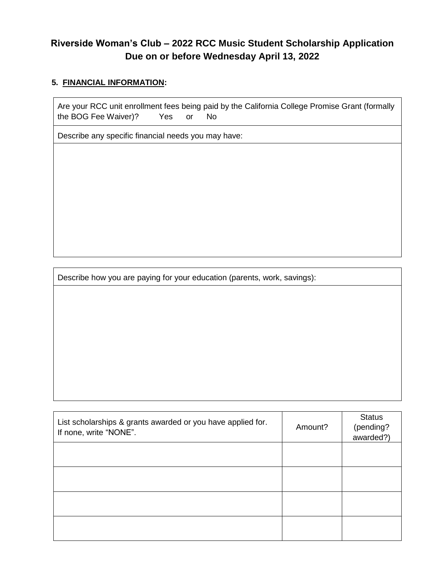## **Riverside Woman's Club – 2022 RCC Music Student Scholarship Application Due on or before Wednesday April 13, 2022**

### **5. FINANCIAL INFORMATION:**

Are your RCC unit enrollment fees being paid by the California College Promise Grant (formally the BOG Fee Waiver)? Yes or No

Describe any specific financial needs you may have:

Describe how you are paying for your education (parents, work, savings):

| List scholarships & grants awarded or you have applied for.<br>If none, write "NONE". | Amount? | <b>Status</b><br>(pending?<br>awarded?) |
|---------------------------------------------------------------------------------------|---------|-----------------------------------------|
|                                                                                       |         |                                         |
|                                                                                       |         |                                         |
|                                                                                       |         |                                         |
|                                                                                       |         |                                         |